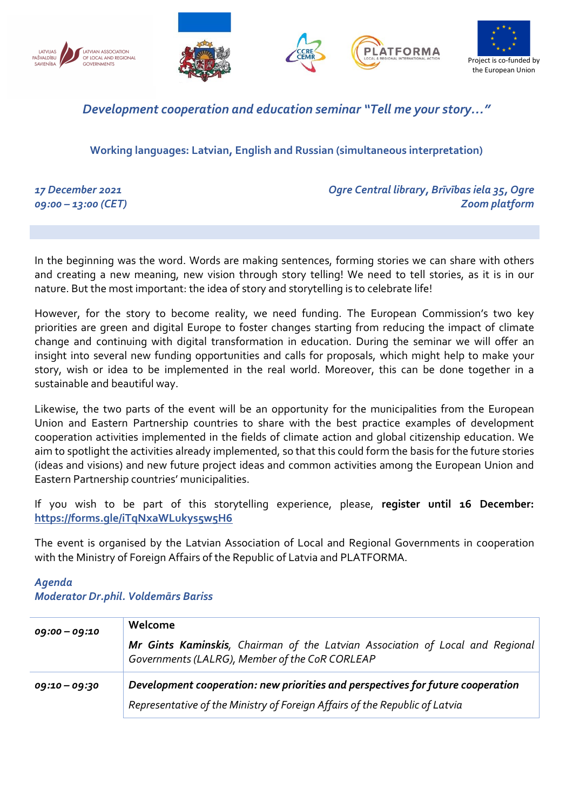

## Development cooperation and education seminar "Tell me your story…"

Working languages: Latvian, English and Russian (simultaneous interpretation)

17 December 2021 09:00 – 13:00 (CET) Ogre Central library, Brīvības iela 35, Ogre Zoom platform

In the beginning was the word. Words are making sentences, forming stories we can share with others and creating a new meaning, new vision through story telling! We need to tell stories, as it is in our nature. But the most important: the idea of story and storytelling is to celebrate life!

However, for the story to become reality, we need funding. The European Commission's two key priorities are green and digital Europe to foster changes starting from reducing the impact of climate change and continuing with digital transformation in education. During the seminar we will offer an insight into several new funding opportunities and calls for proposals, which might help to make your story, wish or idea to be implemented in the real world. Moreover, this can be done together in a sustainable and beautiful way.

Likewise, the two parts of the event will be an opportunity for the municipalities from the European Union and Eastern Partnership countries to share with the best practice examples of development cooperation activities implemented in the fields of climate action and global citizenship education. We aim to spotlight the activities already implemented, so that this could form the basis for the future stories (ideas and visions) and new future project ideas and common activities among the European Union and Eastern Partnership countries' municipalities.

If you wish to be part of this storytelling experience, please, register until 16 December: https://forms.gle/iTqNxaWLukys5w5H6

The event is organised by the Latvian Association of Local and Regional Governments in cooperation with the Ministry of Foreign Affairs of the Republic of Latvia and PLATFORMA.

## Agenda Moderator Dr.phil. Voldemārs Bariss

| $09:00 - 09:10$ | Welcome<br>Mr Gints Kaminskis, Chairman of the Latvian Association of Local and Regional<br>Governments (LALRG), Member of the CoR CORLEAP                     |
|-----------------|----------------------------------------------------------------------------------------------------------------------------------------------------------------|
| 09:10 - 09:30   | Development cooperation: new priorities and perspectives for future cooperation<br>Representative of the Ministry of Foreign Affairs of the Republic of Latvia |